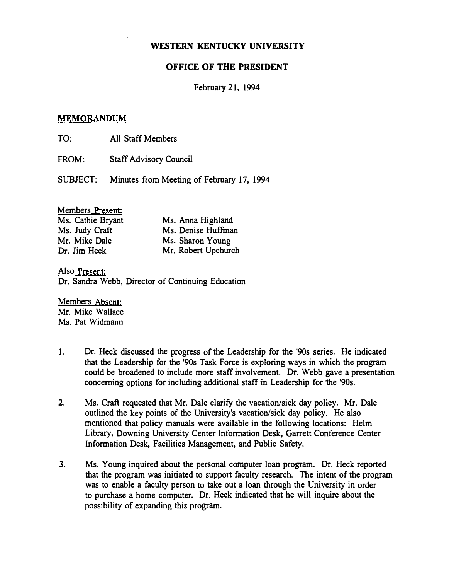# OFFICE OF THE PRESIDENT

## February 21, 1994

## MEMORANDUM

TO: All Staff Members

FROM: Staff Advisory Council

SUBJECT: Minutes from Meeting of February 17, 1994

# Members Present:

| Ms. Cathie Bryant | Ms. Anna Highland   |
|-------------------|---------------------|
| Ms. Judy Craft    | Ms. Denise Huffman  |
| Mr. Mike Dale     | Ms. Sharon Young    |
| Dr. Jim Heck      | Mr. Robert Upchurch |

Also Present: Dr. Sandra Webb, Director of Continuing Education

Members Absent: Mr. Mike Wallace Ms. Pat Widmann

- 1. Dr. Heck discussed the progress of the Leadership for the '90s series. He indicated that the Leadership for the '90s Task Force is exploring ways in which the program could be broadened to include more staff involvement. Dr. Webb gave a presentation concerning options for including additional staff in Leadership for the '90s.
- 2. Ms. Craft requested that Mr. Dale clarify the vacation/sick day policy. Mr. Dale outlined the key points of the University's vacation/sick day policy. He also mentioned that policy manuals were available in the following locations: Helm Library, Downing University Center Information Desk. Garrett Conference Center Information Desk, Facilities Management, and Public Safety.
- 3. Ms. Young inquired about the personal computer loan program. Dr. Heck reported that the program was initiated to support faculty research. The intent of the program was to enable a faculty person to take out a loan through the University in order to purchase a home computer. Dr. Heck indicated that he will inquire about the possibility of expanding this program.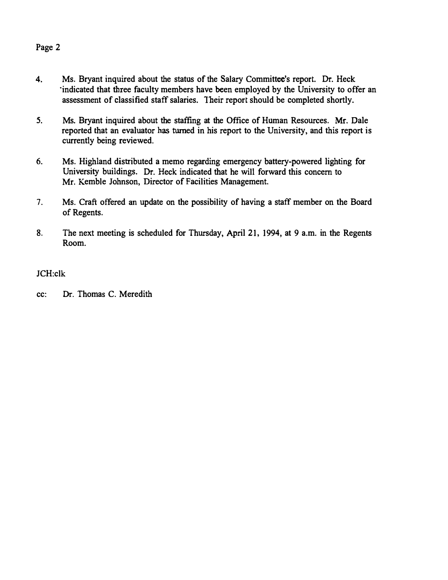# Page 2

- 4. Ms. Bryant inquired about the status of the Salary Committee's report. Dr. Heck 'indicated that three faculty members have been employed by the University to offer an assessment of classified staff salaries. Their report should be completed shortly.
- 5. Ms. Bryant inquired about the staffing at the Office of Human Resources. Mr. Dale reported that an evaluator has turned in his report to the University, and this report is currently being reviewed.
- 6. Ms. Highland distributed a memo regarding emergency battery-powered lighting for University buildings. Dr. Heck indicated that he will forward this concern to Mr. Kemble Johnson, Director of Facilities Management.
- 7. Ms. Craft offered an update on the possibility of having a staff member on the Board of Regents.
- 8. The next meeting is scheduled for Thursday, April 21, 1994, at 9 a.m. in the Regents Room.

# JCH:clk

cc: Dr. Thomas C. Meredith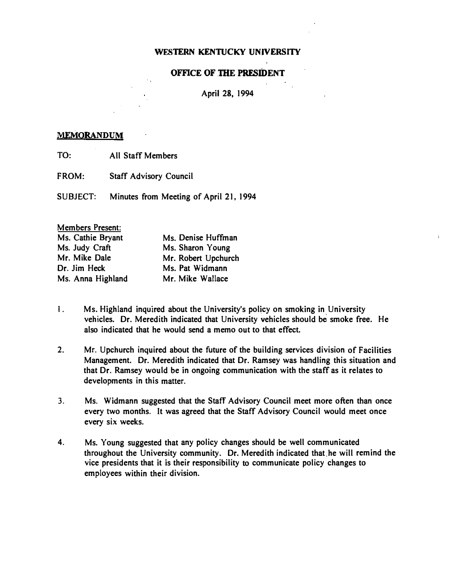## OFFICE OF THE PRESIDENT

## April 28, 1994

#### MEMORANDUM

- TO: All Staff Members
- FROM: Staff Advisory Council

SUBJECT: Minutes from Meeting of April 21, 1994

| Members Present:  |                     |
|-------------------|---------------------|
| Ms. Cathie Bryant | Ms. Denise Huffman  |
| Ms. Judy Craft    | Ms. Sharon Young    |
| Mr. Mike Dale     | Mr. Robert Upchurch |
| Dr. Jim Heck      | Ms. Pat Widmann     |
| Ms. Anna Highland | Mr. Mike Wallace    |

- 1. Ms. Highland inquired about the University's policy on smoking in University vehicles. Dr. Meredith indicated that University �ehicles should be smoke free. He also indicated that he would send a memo out to that effect.
- 2. Mr. Upchurch inquired about the future of the building services division of Facilities Management. Dr. Meredith indicated that Dr. Ramsey was handling this situation and that Dr. Ramsey would be in ongoing communication with the staff as it relates to developments in this matter.
- 3. Ms. Widmann suggested that the Staff Advisory Council meet more often than once every two months. It was agreed that the Staff Advisory Council would meet once every six weeks.
- 4. Ms. Young suggested that any policy changes should be well communicated throughout the University community. Dr. Meredith indicated that.he will remind the vice presidents that it is their responsibility to communicate policy changes to employees within their division.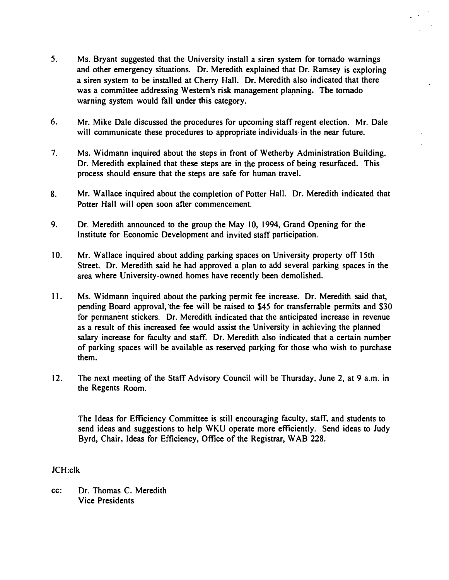- 5. Ms. Bryant suggested that the University install a siren system for tornado warnings and other emergency situations. Dr. Meredith explained that Dr. Ramsey is exploring a siren system to be installed at Cherry Hall. Dr. Meredith also indicated that there was a committee addressing Western's risk management planning. The tornado warning system would fall under this category.
- 6. Mr. Mike Dale di�cussed the procedures for upcoming staff regent election. Mr. Dale will communicate these procedures to appropriate individuals in the near future.
- 7. Ms. Widmann inquired about the steps in front of Wetherby Administration Building. Dr. Meredith explained that these steps are in the process of being resurfaced. This process should ensure that the steps are safe for human travel.
- 8. Mr. Wallace inquired about the completion of Potter Hall. Dr. Meredith indicated that Potter Hall will open soon after commencement.
- 9. Dr. Meredith announced to the group the May 10, 1994, Grand Opening for the Institute for Economic Development and invited staff participation.
- 10. Mr. Wallace inquired about adding parking spaces on University property off 15th Street. Dr. Meredith said he had approved a plan to add several parking spaces in the area where University-owned homes have recently been demolished.
- II. Ms. Widmann inquired about the parking permit fee increase. Dr. Meredith said that, pending Board approval, the fee will be raised to \$45 for transferrable permits and \$30 for permanent stickers. Dr. Meredith indicated that the anticipated increase in revenue as a result of this increased fee would assist the University in achieving the planned salary increase for faculty and staff. Dr. Meredith also indicated that a certain number of parking spaces will be available as reserved parking for those who wish to purchase them.
- 12. The next meeting of the Staff Advisory Council will be Thursday, June 2, at 9 a.m. in the Regents Room.

The Ideas for Efficiency Committee is still encouraging faculty, staff, and students to send ideas and suggestions to help WKU operate more efficiently. Send ideas to Judy Byrd, Chair. Ideas for Efficiency, Office of the Registrar, WAB 228.

#### JCH:c1k

cc: Dr. Thomas C. Meredith Vice Presidents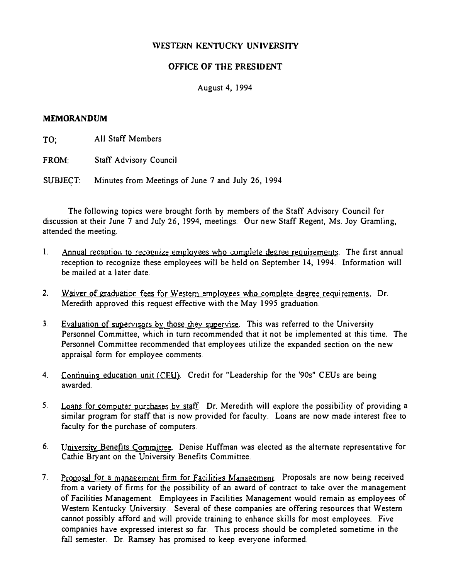# OFFICE OF TIlE PRESIDENT

## August 4, 1994

#### MEMORANDUM

TO; All Staff Members

FROM: Staff Advisory Council

SUBJECT: Minutes from Meetings of June 7 and July 26, 1994

The following topics were brought forth by members of the Staff Advisory Council for discussion at their June 7 and July 26, 1994, meetings. Our new Staff Regent, Ms. Joy Gramling, attended the meeting.

- 1. Annual reception to recognize employees who complete degree requirements. The first annual reception to recognize these employees will be held on September 14, 1994. Information will be mailed at a later date.
- 2. Waiver of graduation fees for Western employees who complete degree requirements. Dr. Meredith approved this request effective with the May 1995 graduation.
- 3. Evaluation of supervisors by those they supervise. This was referred to the University Personnel Committee, which in turn recommended that it not be implemented at this time. The Personnel Committee recommended that employees utilize the expanded section on the new appraisal form for employee comments.
- 4. Continuing education unit (CEU). Credit for "Leadership for the '90s" CEUs are being awarded.
- 5. Loans for compyter purchases by staff. Dr. Meredith will explore the possibility of providing a similar program for staff that is now provided for faculty. Loans are now made interest free to faculty for the purchase of computers.
- 6. University Benefits Committee. Denise Huffman was elected as the alternate representative for Cathie Bryant on the University Benefits Committee.
- 7. Proposal for a management firm for Facilities Management. Proposals are now being received from a variety of firms for the possibility of an award of contract to take over the management of Facilities Management. Employees in Facilities Management would remain as employees of Western Kentucky University. Several of these companies are offering resources that Western cannot possibly afford and will provide training to enhance skills for most employees. Five companies have expressed interest so far. This process should be completed sometime in the fall semester. Dr. Ramsey has promised to keep everyone informed.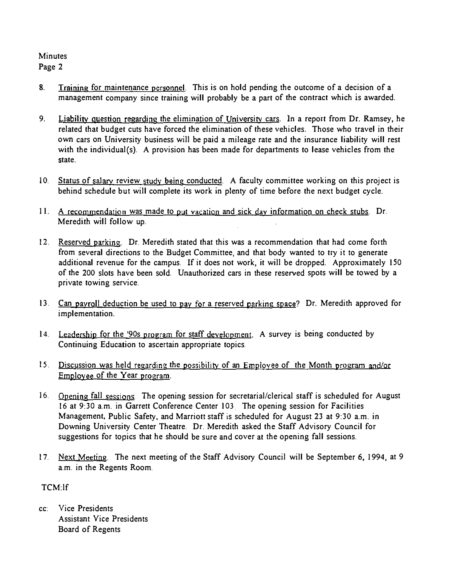## **Minutes** Page 2

- 8. Training for maintenance personnel. This is on hold pending the outcome of a decision of a management company since training will probably be a part of the contract which is awarded.
- 9. Liability question regarding the elimination of University cars. In a report from Dr. Ramsey, he related that budget cuts have forced the elimination of these vehicles. Those who travel in their own cars on University business will be paid a mileage rate and the insurance liability will rest with the individual(s). A provision has been made for departments to lease vehicles from the state.
- 10. Status of salary review study being conducted. A faculty committee working on this project is behind schedule but will complete its work in plenty of time before the next budget cycle.
- 11. A recommendation was made to put vacation and sick day information on check stubs. Dr. Meredith will follow up.
- 12. Reserved parking. Dr. Meredith stated that this was a recommendation that had come forth from several directions to the Budget Committee, and that body wanted to try it to generate additional revenue for the campus. If it does not work, it will be dropped. Approximately 150 of the 200 slots have been sold. Unauthorized cars in these reserved spots will be towed by a private towing service.
- 13. Can payroll deduction be used to pay for a reserved parking space? Dr. Meredith approved for implementation.
- 14. Leadership for the '90s program for staff development. A survey is being conducted by Continuing Education to ascertain appropriate topics.
- 15. Discussion was held regarding the possibility of an Employee of the Month program and/or Employee of the Year program.
- 16. Opening fall sessions. The opening session for secretarial/clerical staff is scheduled for August 16 at 9:30 a.m. in Garrett Conference Center 103 The opening session for Facilities Management, Public Safety, and Marriott staff is scheduled for August 23 at 9:30 a.m. in Downing University Center Theatre. Dr. Meredith asked the Staff Advisory Council for suggestions for topics that he should be sure and cover at the opening fall sessions.
- 17. Next Meeting. The next meeting of the Staff Advisory Council will be September 6, 1994, at 9 a.m. in the Regents Room.

# TCM:lf

cc: Vice Presidents Assistant Vice Presidents Board of Regents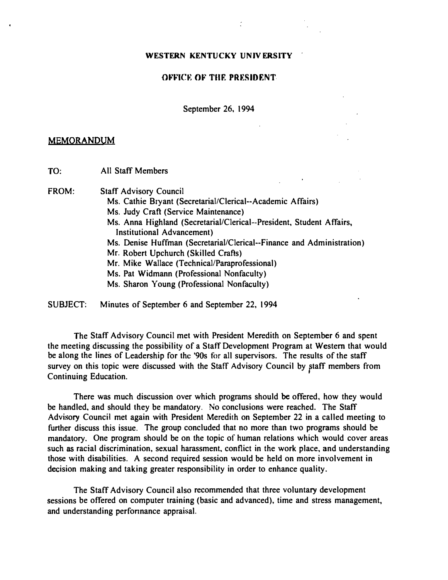#### OFFICE OF THE PRESIDENT.

September 26. 1994

#### MEMORANDUM

TO: All Staff Members

FROM: Staff Advisory Council

- Ms. Cathie Bryant (Secretarial/Clerical--Academic Affairs)
- Ms. Judy Craft (Service Maintenance)
- Ms. Anna Highland (Secretarial/Clerical--President, Student Affairs, Institutional Advancement)
- Ms. Denise Huffman (Secretarial/Clerical--Finance and Administration)
- Mr. Robert Upchurch (Skilled Crafts)
- Mr. Mike Wallace (Technical/Paraprofessional)
- Ms. Pat Widmann (Professional Nonfaculty)
- Ms. Sharon Young (Professional Nonfaculty)

SUBJECT: Minutes of September 6 and September 22, 1994

The Staff Advisory Council met with President Meredith on September 6 and spent the meeting discussing the possibility of a Staff Development Program at Western that would be along the lines of Leadership for the '90s for all supervisors. The results of the staff survey on this topic were discussed with the Staff Advisory Council by ptaff members from Continuing Education.

There was much discussion over which programs should be offered. how they would be handled. and should they be mandatory. No conclusions were reached. The Staff Advisory Council met again with President Meredith on September 22 in a called meeting to further discuss this issue. The group concluded that no more than two programs should be mandatory. One program should be on the topic of human relations which would cover areas such as racial discrimination, sexual harassment. conflict in the work place, and understanding those with disabilities. A second required session would be held on more involvement in decision making and taking greater responsibility in order to enhance quality.

The Staff Advisory Council also recommended that three voluntary development sessions be offered on computer training (basic and advanced), time and stress management, and understanding perfonnance appraisal.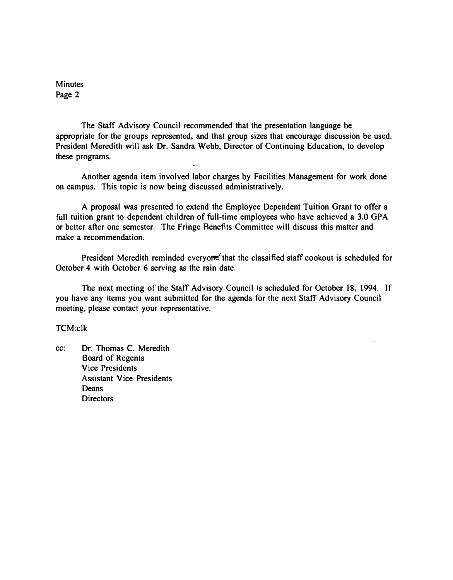**Minutes** Page 2

The Staff Advisory Council recommended that the presentation language be appropriate for the groups represented, and that group sizes that encourage discussion be used. President Meredith will ask Dr. Sandra Webb, Director of Continuing Education, to develop these programs.

Another agenda item involved labor charges by Facilities Management for work done on campus. This topic is now being discussed administratively.

A proposal was presented to extend the Employee Dependent Tuition Grant to offer a full tuition grant to dependent children of full-time employees who have achieved a 3.0 GPA or better after one semester. The Fringe Benefits Committee will discuss this matter and make a recommendation.

President Meredith reminded everyome that the classified staff cookout is scheduled for October 4 with October 6 serving as the rain date.

The next meeting of the Staff Advisory Council is scheduled for October 18, 1994. If you have any items you want submitted for the agenda for the next Staff Advisory Council meeting, please contact your representative.

TCM:clk

cc: Dr. Thomas C. Meredith Board of Regents Vice Presidents Assistant Vice Presidents **Deans** Directors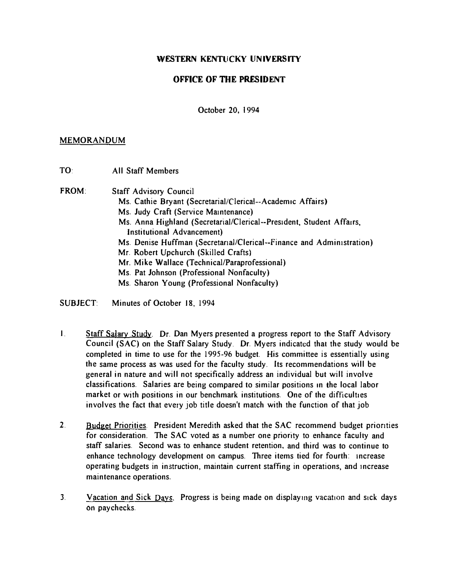# OFFICE OF THE PRESIDENT

October 20, 1994

#### MEMORANDUM

TO: All Staff Members

FROM: Staff Advisory Council

- Ms. Cathie Bryant (Secretarial/Clerical--Academic Affairs)
- Ms. Judy Craft (Service Maintenance)
- Ms. Anna Highland (Secretarial/Clerical--President, Student Affairs, InstitutionaJ Advancement)
- Ms. Denise Huffman (SecretanaI/Clerical--Finance and Administration)
- Mr. Robert Upchurch (Skilled Crafts)
- Mr. Mike Wallace (Technical/Paraprofessional)
- Ms. Pat Johnson (Professional Nonfaculty)
- Ms. Sharon Young (Professional Nonfaculty)
- SUBJECT: Minutes of October 18, 1994
- I. Staff Salary Study. Dr. Dan Myers presented a progress report to the Staff Advisory Council (SAC) on the Staff Salary Study. Dr. Myers indicated that the study would be completed in time to use for the 1995-96 budget. His committee is essentially using the same process as was used for the faculty study. Its recommendations will be general in nature and will not specifically address an individual but will involve classifications. Salaries are being compared to similar positions In the local labor market or with positions in our benchmark institutions. One of the difficulties involves the fact that every job title doesn't match with the function of that job
- 2. Budget Priorities. President Meredith asked that the SAC recommend budget priorities for consideration. The SAC voted as a number one priority to enhance faculty and staff salaries. Second was to enhance student retention, and third was to continue to enhance technology development on campus. Three items tied for fourth: Increase operating budgets in instruction, maintain current staffing in operations, and Increase maintenance operations.
- 3. Vacation and Sick Days. Progress is being made on displaying vacation and sick days on paychecks.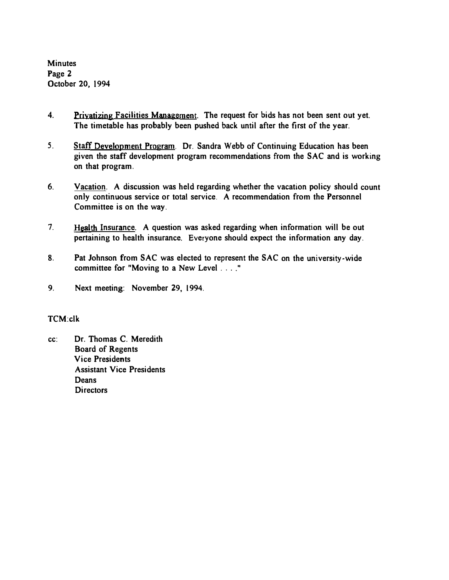Minutes Page 2 October 20, 1994

- 4. Privatizing Facilities Management. The request for bids has not been sent out yet. The timetable has probably been pushed back until after the first of the year.
- 5. Staff Development Program. Dr. Sandra Webb of Continuing Education has been given the staff development program recommendations from the SAC and is working on that program.
- 6. Vacation. A discussion was held regarding whether the vacation policy should count only continuous service or total service. A recommendation from the Personnel Committee is on the way.
- 7. Health Insurance. A question was asked regarding when information will be out pertaining to health insurance. Everyone should expect the information any day.
- 8. Pat Johnson from SAC was elected to represent the SAC on the university·wide committee for "Moving to a New Level. , .. "
- 9. Next meeting: November 29, 1994.

# TCM:clk

cc: Dr. Thomas C. Meredith Board of Regents Vice Presidents Assistant Vice Presidents **Deans Directors**